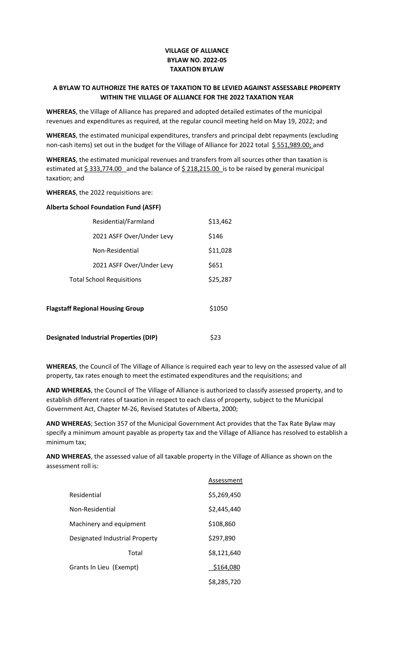## **VILLAGE OF ALLIANCE BYLAW NO. 2022-05 TAXATION BYLAW**

## **A BYLAW TO AUTHORIZE THE RATES OF TAXATION TO BE LEVIED AGAINST ASSESSABLE PROPERTY WITHIN THE VILLAGE OF ALLIANCE FOR THE 2022 TAXATION YEAR**

**WHEREAS**, the Village of Alliance has prepared and adopted detailed estimates of the municipal revenues and expenditures as required, at the regular council meeting held on May 19, 2022; and

**WHEREAS**, the estimated municipal expenditures, transfers and principal debt repayments (excluding non-cash items) set out in the budget for the Village of Alliance for 2022 total \$ 551,989.00; and

**WHEREAS**, the estimated municipal revenues and transfers from all sources other than taxation is estimated at  $\frac{6}{5}$  333,774.00 and the balance of  $\frac{6}{5}$  218,215.00 is to be raised by general municipal taxation; and

**WHEREAS**, the 2022 requisitions are:

## **Alberta School Foundation Fund (ASFF)**

| Residential/Farmland                          | \$13,462 |
|-----------------------------------------------|----------|
| 2021 ASFF Over/Under Levy                     | \$146    |
| Non-Residential                               | \$11,028 |
| 2021 ASFF Over/Under Levy                     | \$651    |
| <b>Total School Requisitions</b>              | \$25,287 |
| <b>Flagstaff Regional Housing Group</b>       | \$1050   |
| <b>Designated Industrial Properties (DIP)</b> | \$23     |

**WHEREAS**, the Council of The Village of Alliance is required each year to levy on the assessed value of all property, tax rates enough to meet the estimated expenditures and the requisitions; and

**AND WHEREAS**, the Council of The Village of Alliance is authorized to classify assessed property, and to establish different rates of taxation in respect to each class of property, subject to the Municipal Government Act, Chapter M-26, Revised Statutes of Alberta, 2000;

**AND WHEREAS**; Section 357 of the Municipal Government Act provides that the Tax Rate Bylaw may specify a minimum amount payable as property tax and the Village of Alliance has resolved to establish a minimum tax;

Assessment

**AND WHEREAS**, the assessed value of all taxable property in the Village of Alliance as shown on the assessment roll is:

|                                | ASSESSITIEITL |
|--------------------------------|---------------|
| Residential                    | \$5,269,450   |
| Non-Residential                | \$2,445,440   |
| Machinery and equipment        | \$108,860     |
| Designated Industrial Property | \$297,890     |
| Total                          | \$8,121,640   |
| Grants In Lieu (Exempt)        | \$164,080     |
|                                | \$8,285,720   |